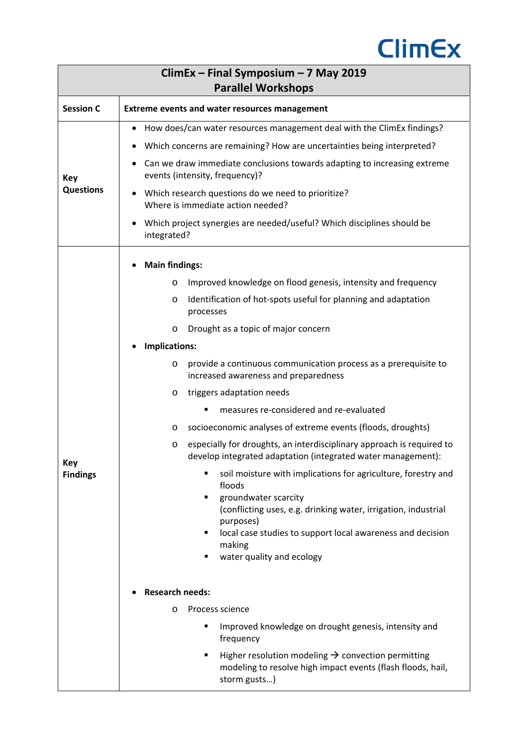

| ClimEx - Final Symposium - 7 May 2019<br><b>Parallel Workshops</b> |                                                                                                                                                                                                                                                                                                                                                                                                                                                                                                                                                                                                                                                                                                                                                                                                                                                                                                                                                                                                                                                                                                                                                                                                                                                                  |  |  |
|--------------------------------------------------------------------|------------------------------------------------------------------------------------------------------------------------------------------------------------------------------------------------------------------------------------------------------------------------------------------------------------------------------------------------------------------------------------------------------------------------------------------------------------------------------------------------------------------------------------------------------------------------------------------------------------------------------------------------------------------------------------------------------------------------------------------------------------------------------------------------------------------------------------------------------------------------------------------------------------------------------------------------------------------------------------------------------------------------------------------------------------------------------------------------------------------------------------------------------------------------------------------------------------------------------------------------------------------|--|--|
| <b>Session C</b>                                                   | <b>Extreme events and water resources management</b>                                                                                                                                                                                                                                                                                                                                                                                                                                                                                                                                                                                                                                                                                                                                                                                                                                                                                                                                                                                                                                                                                                                                                                                                             |  |  |
| Key<br><b>Questions</b>                                            | How does/can water resources management deal with the ClimEx findings?<br>Which concerns are remaining? How are uncertainties being interpreted?<br>Can we draw immediate conclusions towards adapting to increasing extreme<br>events (intensity, frequency)?<br>Which research questions do we need to prioritize?<br>Where is immediate action needed?<br>Which project synergies are needed/useful? Which disciplines should be<br>integrated?                                                                                                                                                                                                                                                                                                                                                                                                                                                                                                                                                                                                                                                                                                                                                                                                               |  |  |
| <b>Key</b><br><b>Findings</b>                                      | <b>Main findings:</b><br>Improved knowledge on flood genesis, intensity and frequency<br>$\circ$<br>Identification of hot-spots useful for planning and adaptation<br>O<br>processes<br>Drought as a topic of major concern<br>O<br>Implications:<br>provide a continuous communication process as a prerequisite to<br>$\circ$<br>increased awareness and preparedness<br>triggers adaptation needs<br>O<br>measures re-considered and re-evaluated<br>п<br>socioeconomic analyses of extreme events (floods, droughts)<br>O<br>especially for droughts, an interdisciplinary approach is required to<br>$\circ$<br>develop integrated adaptation (integrated water management):<br>soil moisture with implications for agriculture, forestry and<br>floods<br>groundwater scarcity<br>(conflicting uses, e.g. drinking water, irrigation, industrial<br>purposes)<br>local case studies to support local awareness and decision<br>٠<br>making<br>water quality and ecology<br>п<br><b>Research needs:</b><br>Process science<br>$\circ$<br>Improved knowledge on drought genesis, intensity and<br>frequency<br>Higher resolution modeling $\rightarrow$ convection permitting<br>modeling to resolve high impact events (flash floods, hail,<br>storm gusts) |  |  |